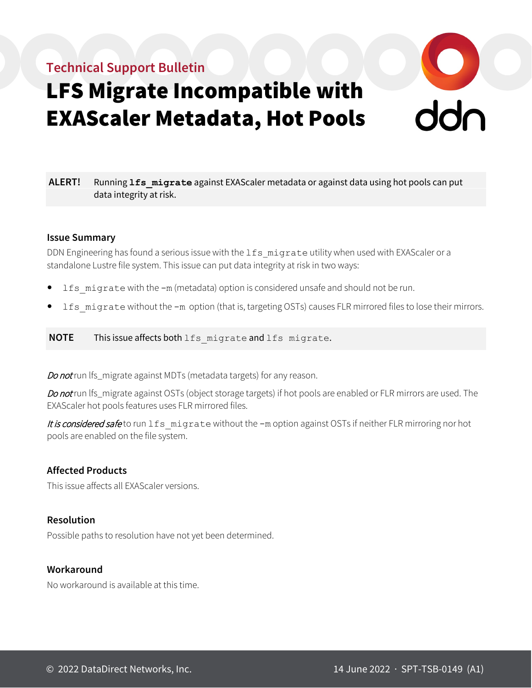## **Technical Support Bulletin**



# LFS Migrate Incompatible with EXAScaler Metadata, Hot Pools

**ALERT!** Running **lfs\_migrate** against EXAScaler metadata or against data using hot pools can put data integrity at risk.

#### **Issue Summary**

DDN Engineering has found a serious issue with the 1fs\_migrate utility when used with EXAScaler or a standalone Lustre file system. This issue can put data integrity at risk in two ways:

- lfs migrate with the -m (metadata) option is considered unsafe and should not be run.
- lfs migrate without the -m option (that is, targeting OSTs) causes FLR mirrored files to lose their mirrors.

**NOTE** This issue affects both lfs migrate and lfs migrate.

Do not run lfs\_migrate against MDTs (metadata targets) for any reason.

Do not run lfs\_migrate against OSTs (object storage targets) if hot pools are enabled or FLR mirrors are used. The EXAScaler hot pools features uses FLR mirrored files.

It is considered safe to run 1fs\_migrate without the -m option against OSTs if neither FLR mirroring nor hot pools are enabled on the file system.

#### **Affected Products**

This issue affects all EXAScaler versions.

#### **Resolution**

Possible paths to resolution have not yet been determined.

#### **Workaround**

No workaround is available at this time.